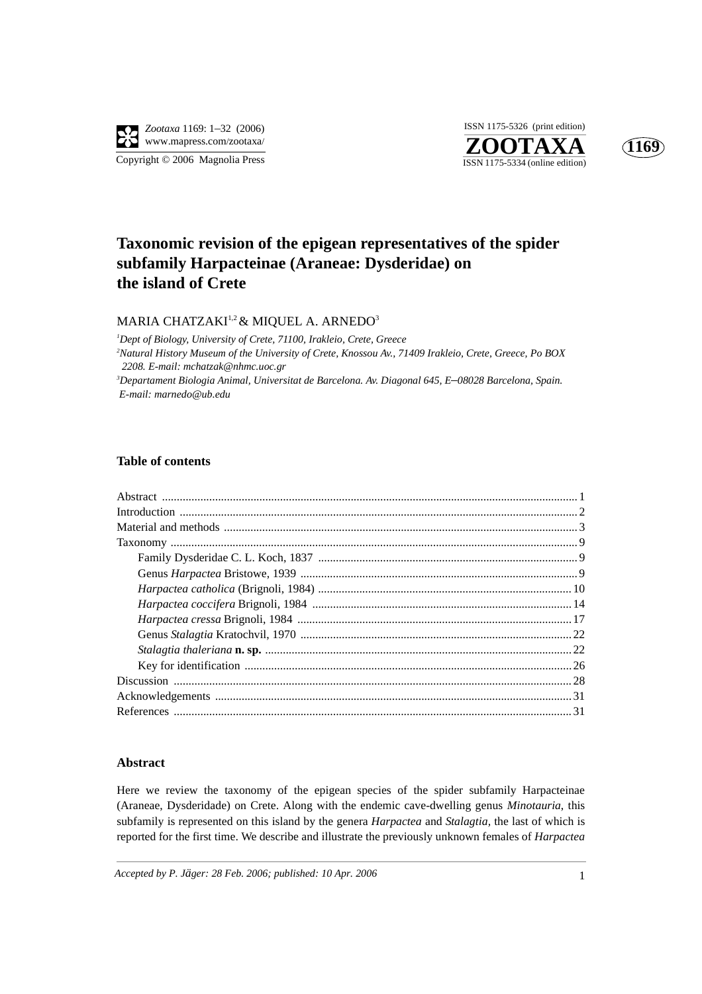





# **Taxonomic revision of the epigean representatives of the spider subfamily Harpacteinae (Araneae: Dysderidae) on the island of Crete**

## MARIA CHATZAKI<sup>1,2</sup> & MIQUEL A. ARNEDO<sup>3</sup>

*1 Dept of Biology, University of Crete, 71100, Irakleio, Crete, Greece 2 Natural History Museum of the University of Crete, Knossou Av., 71409 Irakleio, Crete, Greece, Po BOX 2208. E-mail: mchatzak@nhmc.uoc.gr 3 Departament Biologia Animal, Universitat de Barcelona. Av. Diagonal 645, E*–*08028 Barcelona, Spain. E-mail: marnedo@ub.edu*

## **Table of contents**

### **Abstract**

Here we review the taxonomy of the epigean species of the spider subfamily Harpacteinae (Araneae, Dysderidade) on Crete. Along with the endemic cave-dwelling genus *Minotauria*, this subfamily is represented on this island by the genera *Harpactea* and *Stalagtia,* the last of which is reported for the first time. We describe and illustrate the previously unknown females of *Harpactea*